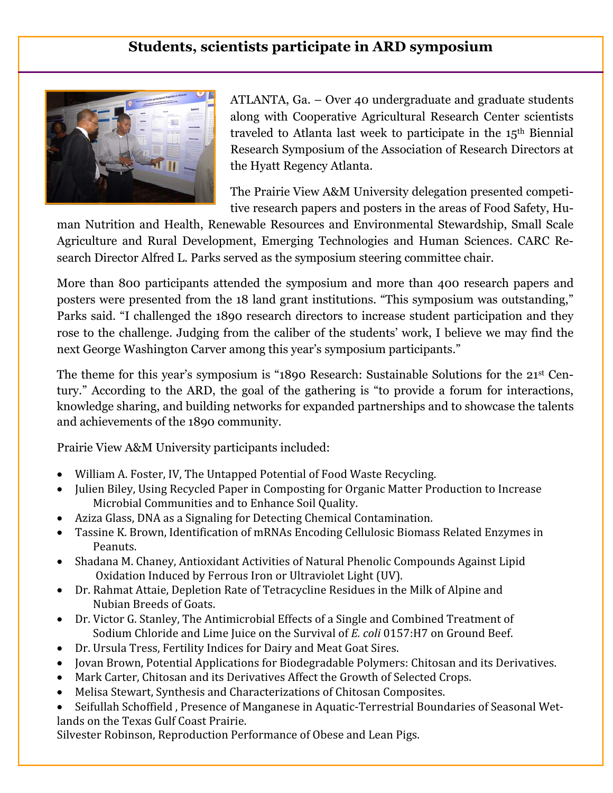## **Students, scientists participate in ARD symposium**



ATLANTA, Ga. – Over 40 undergraduate and graduate students along with Cooperative Agricultural Research Center scientists traveled to Atlanta last week to participate in the 15<sup>th</sup> Biennial Research Symposium of the Association of Research Directors at the Hyatt Regency Atlanta.

The Prairie View A&M University delegation presented competitive research papers and posters in the areas of Food Safety, Hu-

man Nutrition and Health, Renewable Resources and Environmental Stewardship, Small Scale Agriculture and Rural Development, Emerging Technologies and Human Sciences. CARC Research Director Alfred L. Parks served as the symposium steering committee chair.

More than 800 participants attended the symposium and more than 400 research papers and posters were presented from the 18 land grant institutions. "This symposium was outstanding," Parks said. "I challenged the 1890 research directors to increase student participation and they rose to the challenge. Judging from the caliber of the students' work, I believe we may find the next George Washington Carver among this year's symposium participants."

The theme for this year's symposium is "1890 Research: Sustainable Solutions for the 21st Century." According to the ARD, the goal of the gathering is "to provide a forum for interactions, knowledge sharing, and building networks for expanded partnerships and to showcase the talents and achievements of the 1890 community.

Prairie View A&M University participants included:

- William A. Foster, IV, The Untapped Potential of Food Waste Recycling.
- Julien Biley, Using Recycled Paper in Composting for Organic Matter Production to Increase Microbial Communities and to Enhance Soil Quality.
- Aziza Glass, DNA as a Signaling for Detecting Chemical Contamination.
- Tassine K. Brown, Identification of mRNAs Encoding Cellulosic Biomass Related Enzymes in Peanuts.
- Shadana M. Chaney, Antioxidant Activities of Natural Phenolic Compounds Against Lipid Oxidation Induced by Ferrous Iron or Ultraviolet Light (UV).
- Dr. Rahmat Attaie, Depletion Rate of Tetracycline Residues in the Milk of Alpine and Nubian Breeds of Goats.
- Dr. Victor G. Stanley, The Antimicrobial Effects of a Single and Combined Treatment of Sodium Chloride and Lime Juice on the Survival of E. coli 0157:H7 on Ground Beef.
- Dr. Ursula Tress, Fertility Indices for Dairy and Meat Goat Sires.
- Jovan Brown, Potential Applications for Biodegradable Polymers: Chitosan and its Derivatives.
- Mark Carter, Chitosan and its Derivatives Affect the Growth of Selected Crops.
- Melisa Stewart, Synthesis and Characterizations of Chitosan Composites.  $\bullet$

Seifullah Schoffield, Presence of Manganese in Aquatic-Terrestrial Boundaries of Seasonal Wet- $\bullet$ lands on the Texas Gulf Coast Prairie.

Silvester Robinson, Reproduction Performance of Obese and Lean Pigs.